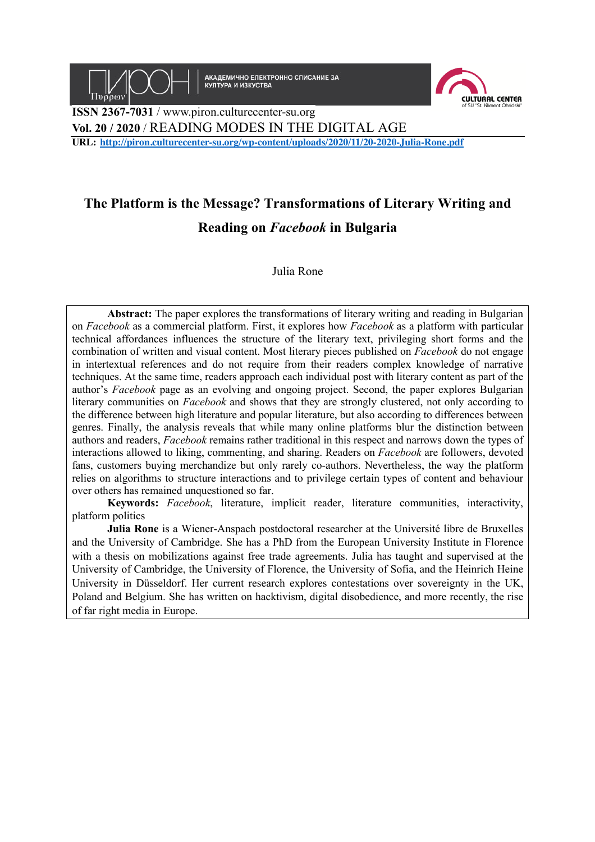

АКАДЕМИЧНО ЕЛЕКТРОННО СПИСАНИЕ ЗА<br>КУЛТУРА И ИЗКУСТВА



**ISSN 2367-7031** / www.piron.culturecenter-su.org **Vol. 20 / 2020** / READING MODES IN THE DIGITAL AGE **URL: http://piron.culturecenter-su.org/wp-content/uploads/2020/11/20-2020-Julia-Rone.pdf**

# **The Platform is the Message? Transformations of Literary Writing and Reading on** *Facebook* **in Bulgaria**

Julia Rone

**Abstract:** The paper explores the transformations of literary writing and reading in Bulgarian on *Facebook* as a commercial platform. First, it explores how *Facebook* as a platform with particular technical affordances influences the structure of the literary text, privileging short forms and the combination of written and visual content. Most literary pieces published on *Facebook* do not engage in intertextual references and do not require from their readers complex knowledge of narrative techniques. At the same time, readers approach each individual post with literary content as part of the author's *Facebook* page as an evolving and ongoing project. Second, the paper explores Bulgarian literary communities on *Facebook* and shows that they are strongly clustered, not only according to the difference between high literature and popular literature, but also according to differences between genres. Finally, the analysis reveals that while many online platforms blur the distinction between authors and readers, *Facebook* remains rather traditional in this respect and narrows down the types of interactions allowed to liking, commenting, and sharing. Readers on *Facebook* are followers, devoted fans, customers buying merchandize but only rarely co-authors. Nevertheless, the way the platform relies on algorithms to structure interactions and to privilege certain types of content and behaviour over others has remained unquestioned so far.

**Keywords:** *Facebook*, literature, implicit reader, literature communities, interactivity, platform politics

**Julia Rone** is a Wiener-Anspach postdoctoral researcher at the Université libre de Bruxelles and the University of Cambridge. She has a PhD from the European University Institute in Florence with a thesis on mobilizations against free trade agreements. Julia has taught and supervised at the University of Cambridge, the University of Florence, the University of Sofia, and the Heinrich Heine University in Düsseldorf. Her current research explores contestations over sovereignty in the UK, Poland and Belgium. She has written on hacktivism, digital disobedience, and more recently, the rise of far right media in Europe.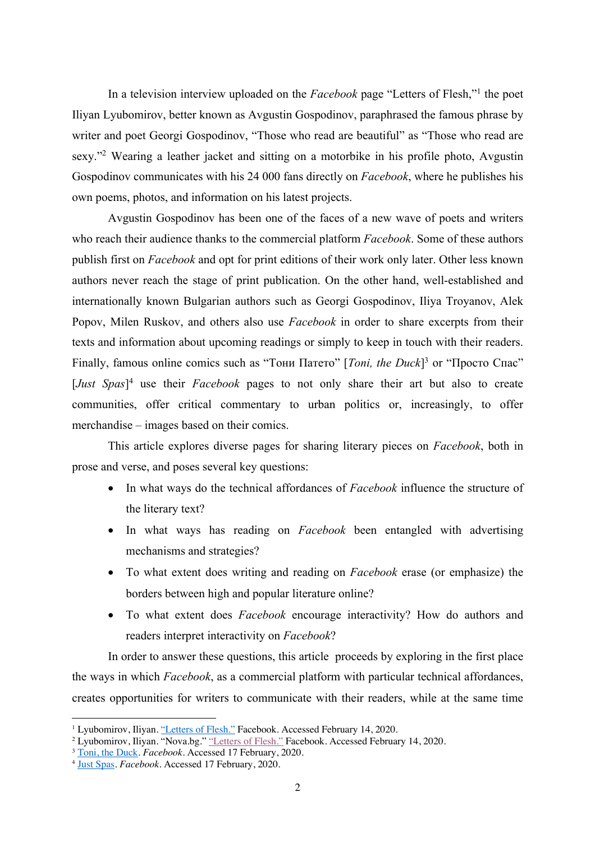In a television interview uploaded on the *Facebook* page "Letters of Flesh,"1 the poet Iliyan Lyubomirov, better known as Avgustin Gospodinov, paraphrased the famous phrase by writer and poet Georgi Gospodinov, "Those who read are beautiful" as "Those who read are sexy."<sup>2</sup> Wearing a leather jacket and sitting on a motorbike in his profile photo, Avgustin Gospodinov communicates with his 24 000 fans directly on *Facebook*, where he publishes his own poems, photos, and information on his latest projects.

Avgustin Gospodinov has been one of the faces of a new wave of poets and writers who reach their audience thanks to the commercial platform *Facebook*. Some of these authors publish first on *Facebook* and opt for print editions of their work only later. Other less known authors never reach the stage of print publication. On the other hand, well-established and internationally known Bulgarian authors such as Georgi Gospodinov, Iliya Troyanov, Alek Popov, Milen Ruskov, and others also use *Facebook* in order to share excerpts from their texts and information about upcoming readings or simply to keep in touch with their readers. Finally, famous online comics such as "Тони Патето" [*Toni, the Duck*] <sup>3</sup> or "Просто Спас" [*Just Spas*] <sup>4</sup> use their *Facebook* pages to not only share their art but also to create communities, offer critical commentary to urban politics or, increasingly, to offer merchandise – images based on their comics.

This article explores diverse pages for sharing literary pieces on *Facebook*, both in prose and verse, and poses several key questions:

- In what ways do the technical affordances of *Facebook* influence the structure of the literary text?
- In what ways has reading on *Facebook* been entangled with advertising mechanisms and strategies?
- To what extent does writing and reading on *Facebook* erase (or emphasize) the borders between high and popular literature online?
- To what extent does *Facebook* encourage interactivity? How do authors and readers interpret interactivity on *Facebook*?

In order to answer these questions, this article proceeds by exploring in the first place the ways in which *Facebook*, as a commercial platform with particular technical affordances, creates opportunities for writers to communicate with their readers, while at the same time

<sup>&</sup>lt;sup>1</sup> Lyubomirov, Iliyan. "Letters of Flesh." Facebook. Accessed February 14, 2020.

<sup>&</sup>lt;sup>2</sup> Lyubomirov, Iliyan. "Nova.bg." "Letters of Flesh." Facebook. Accessed February 14, 2020.

<sup>3</sup> Toni, the Duck. *Facebook*. Accessed 17 February, 2020.

<sup>4</sup> Just Spas. *Facebook*. Accessed 17 February, 2020.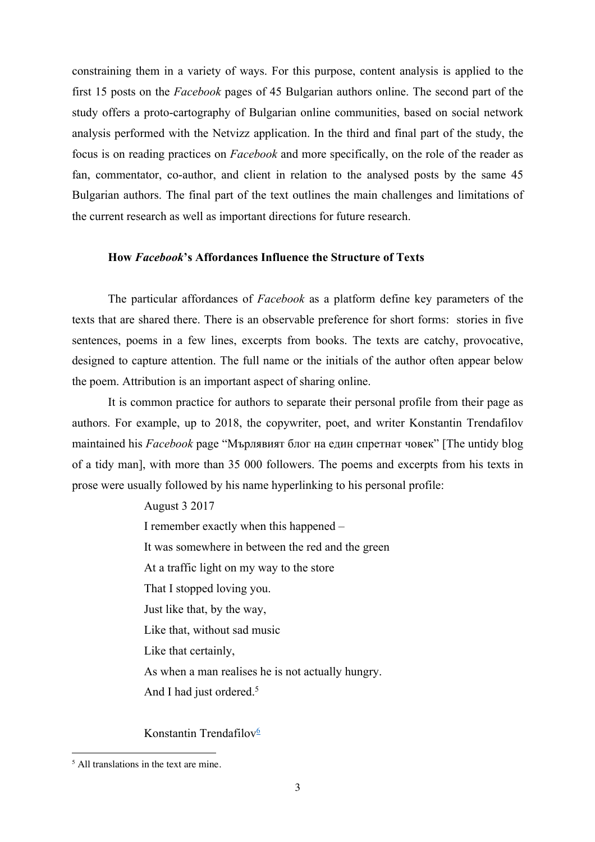constraining them in a variety of ways. For this purpose, content analysis is applied to the first 15 posts on the *Facebook* pages of 45 Bulgarian authors online. The second part of the study offers a proto-cartography of Bulgarian online communities, based on social network analysis performed with the Netvizz application. In the third and final part of the study, the focus is on reading practices on *Facebook* and more specifically, on the role of the reader as fan, commentator, co-author, and client in relation to the analysed posts by the same 45 Bulgarian authors. The final part of the text outlines the main challenges and limitations of the current research as well as important directions for future research.

# **How** *Facebook***'s Affordances Influence the Structure of Texts**

The particular affordances of *Facebook* as a platform define key parameters of the texts that are shared there. There is an observable preference for short forms: stories in five sentences, poems in a few lines, excerpts from books. The texts are catchy, provocative, designed to capture attention. The full name or the initials of the author often appear below the poem. Attribution is an important aspect of sharing online.

It is common practice for authors to separate their personal profile from their page as authors. For example, up to 2018, the copywriter, poet, and writer Konstantin Trendafilov maintained his *Facebook* page "Мърлявият блог на един спретнат човек" [The untidy blog of a tidy man], with more than 35 000 followers. The poems and excerpts from his texts in prose were usually followed by his name hyperlinking to his personal profile:

August 3 2017

I remember exactly when this happened – It was somewhere in between the red and the green At a traffic light on my way to the store That I stopped loving you. Just like that, by the way, Like that, without sad music Like that certainly, As when a man realises he is not actually hungry. And I had just ordered.<sup>5</sup>

Konstantin Trendafilov $6$ 

<sup>&</sup>lt;sup>5</sup> All translations in the text are mine.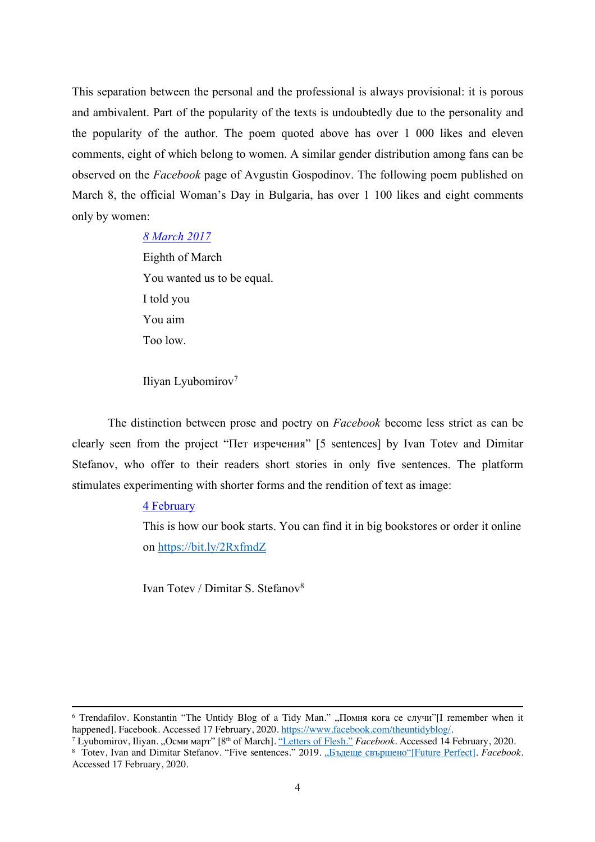This separation between the personal and the professional is always provisional: it is porous and ambivalent. Part of the popularity of the texts is undoubtedly due to the personality and the popularity of the author. The poem quoted above has over 1 000 likes and eleven comments, eight of which belong to women. A similar gender distribution among fans can be observed on the *Facebook* page of Avgustin Gospodinov. The following poem published on March 8, the official Woman's Day in Bulgaria, has over 1 100 likes and eight comments only by women:

## *8 March 2017*

Eighth of March You wanted us to be equal. I told you You aim Too low.

Iliyan Lyubomirov7

The distinction between prose and poetry on *Facebook* become less strict as can be clearly seen from the project "Пет изречения" [5 sentences] by Ivan Totev and Dimitar Stefanov, who offer to their readers short stories in only five sentences. The platform stimulates experimenting with shorter forms and the rendition of text as image:

#### 4 February

This is how our book starts. You can find it in big bookstores or order it online on https://bit.ly/2RxfmdZ

Ivan Totev / Dimitar S. Stefanov8

<sup>&</sup>lt;sup>6</sup> Trendafilov. Konstantin "The Untidy Blog of a Tidy Man." "Помня кога се случи"[I remember when it happened]. Facebook. Accessed 17 February. 2020. https://www.facebook.com/theuntidyblog/.

паредледия постоятель.<br>7 Lyubomirov, Iliyan. "Осми март" [8<sup>th</sup> of March]. <u>"Letters of Flesh."</u> *Facebook.* Accessed 14 February, 2020.

<sup>&</sup>lt;sup>8</sup> Totev, Ivan and Dimitar Stefanov. "Five sentences." 2019. "Бъдеще свършено"[Future Perfect]. *Facebook*. Accessed 17 February, 2020.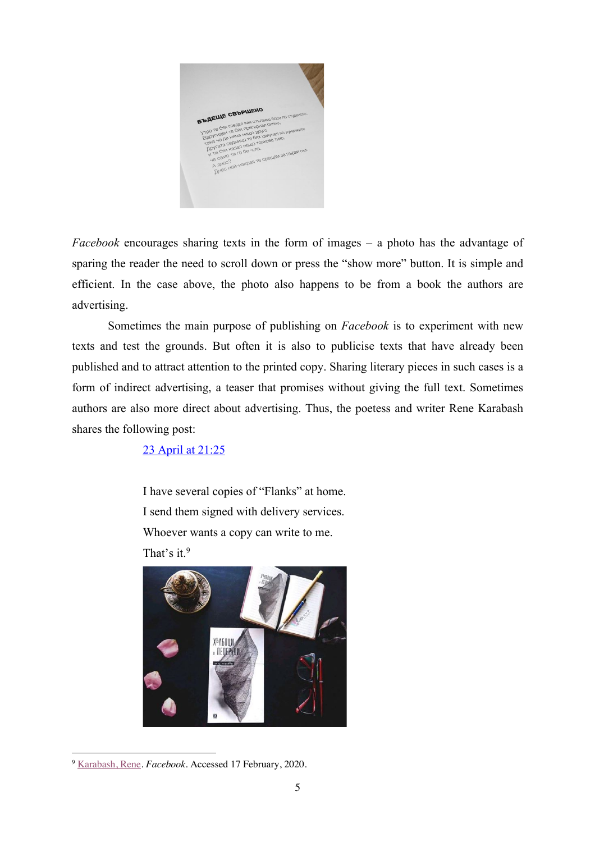

*Facebook* encourages sharing texts in the form of images – a photo has the advantage of sparing the reader the need to scroll down or press the "show more" button. It is simple and efficient. In the case above, the photo also happens to be from a book the authors are advertising.

Sometimes the main purpose of publishing on *Facebook* is to experiment with new texts and test the grounds. But often it is also to publicise texts that have already been published and to attract attention to the printed copy. Sharing literary pieces in such cases is a form of indirect advertising, a teaser that promises without giving the full text. Sometimes authors are also more direct about advertising. Thus, the poetess and writer Rene Karabash shares the following post:

23 April at 21:25

I have several copies of "Flanks" at home. I send them signed with delivery services. Whoever wants a copy can write to me. That's it.<sup>9</sup>



<sup>9</sup> Karabash, Rene. *Facebook*. Accessed 17 February, 2020.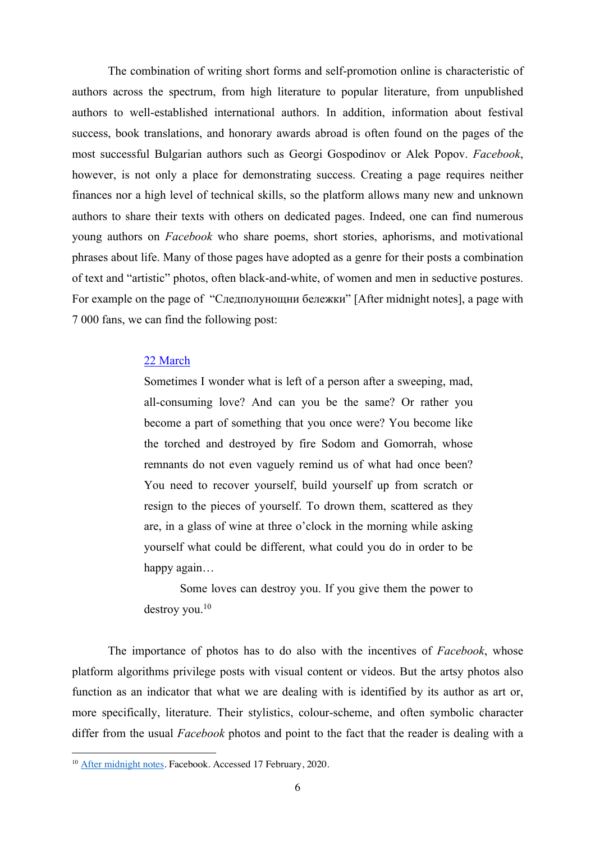The combination of writing short forms and self-promotion online is characteristic of authors across the spectrum, from high literature to popular literature, from unpublished authors to well-established international authors. In addition, information about festival success, book translations, and honorary awards abroad is often found on the pages of the most successful Bulgarian authors such as Georgi Gospodinov or Alek Popov. *Facebook*, however, is not only a place for demonstrating success. Creating a page requires neither finances nor a high level of technical skills, so the platform allows many new and unknown authors to share their texts with others on dedicated pages. Indeed, one can find numerous young authors on *Facebook* who share poems, short stories, aphorisms, and motivational phrases about life. Many of those pages have adopted as a genre for their posts a combination of text and "artistic" photos, often black-and-white, of women and men in seductive postures. For example on the page of "Следполунощни бележки" [After midnight notes], a page with 7 000 fans, we can find the following post:

#### 22 March

Sometimes I wonder what is left of a person after a sweeping, mad, all-consuming love? And can you be the same? Or rather you become a part of something that you once were? You become like the torched and destroyed by fire Sodom and Gomorrah, whose remnants do not even vaguely remind us of what had once been? You need to recover yourself, build yourself up from scratch or resign to the pieces of yourself. To drown them, scattered as they are, in a glass of wine at three o'clock in the morning while asking yourself what could be different, what could you do in order to be happy again…

Some loves can destroy you. If you give them the power to destroy you. 10

The importance of photos has to do also with the incentives of *Facebook*, whose platform algorithms privilege posts with visual content or videos. But the artsy photos also function as an indicator that what we are dealing with is identified by its author as art or, more specifically, literature. Their stylistics, colour-scheme, and often symbolic character differ from the usual *Facebook* photos and point to the fact that the reader is dealing with a

<sup>10</sup> After midnight notes. Facebook. Accessed 17 February, 2020.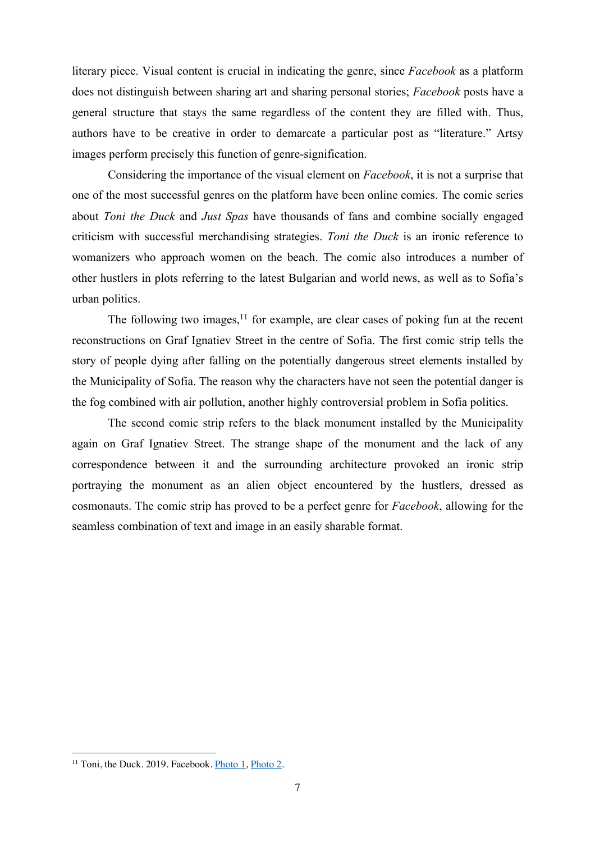literary piece. Visual content is crucial in indicating the genre, since *Facebook* as a platform does not distinguish between sharing art and sharing personal stories; *Facebook* posts have a general structure that stays the same regardless of the content they are filled with. Thus, authors have to be creative in order to demarcate a particular post as "literature." Artsy images perform precisely this function of genre-signification.

Considering the importance of the visual element on *Facebook*, it is not a surprise that one of the most successful genres on the platform have been online comics. The comic series about *Toni the Duck* and *Just Spas* have thousands of fans and combine socially engaged criticism with successful merchandising strategies. *Toni the Duck* is an ironic reference to womanizers who approach women on the beach. The comic also introduces a number of other hustlers in plots referring to the latest Bulgarian and world news, as well as to Sofia's urban politics.

The following two images, $11$  for example, are clear cases of poking fun at the recent reconstructions on Graf Ignatiev Street in the centre of Sofia. The first comic strip tells the story of people dying after falling on the potentially dangerous street elements installed by the Municipality of Sofia. The reason why the characters have not seen the potential danger is the fog combined with air pollution, another highly controversial problem in Sofia politics.

The second comic strip refers to the black monument installed by the Municipality again on Graf Ignatiev Street. The strange shape of the monument and the lack of any correspondence between it and the surrounding architecture provoked an ironic strip portraying the monument as an alien object encountered by the hustlers, dressed as cosmonauts. The comic strip has proved to be a perfect genre for *Facebook*, allowing for the seamless combination of text and image in an easily sharable format.

<sup>&</sup>lt;sup>11</sup> Toni, the Duck. 2019. Facebook. Photo 1, Photo 2.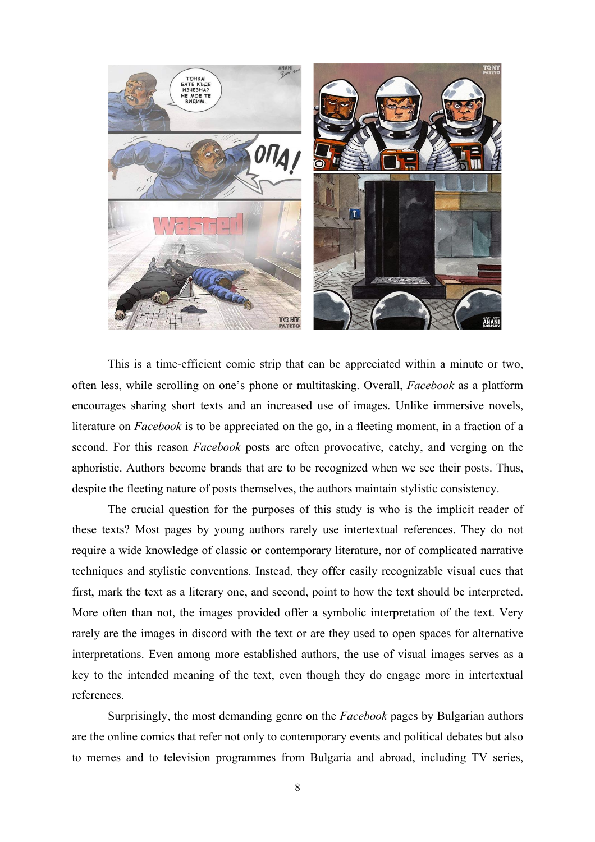

This is a time-efficient comic strip that can be appreciated within a minute or two, often less, while scrolling on one's phone or multitasking. Overall, *Facebook* as a platform encourages sharing short texts and an increased use of images. Unlike immersive novels, literature on *Facebook* is to be appreciated on the go, in a fleeting moment, in a fraction of a second. For this reason *Facebook* posts are often provocative, catchy, and verging on the aphoristic. Authors become brands that are to be recognized when we see their posts. Thus, despite the fleeting nature of posts themselves, the authors maintain stylistic consistency.

The crucial question for the purposes of this study is who is the implicit reader of these texts? Most pages by young authors rarely use intertextual references. They do not require a wide knowledge of classic or contemporary literature, nor of complicated narrative techniques and stylistic conventions. Instead, they offer easily recognizable visual cues that first, mark the text as a literary one, and second, point to how the text should be interpreted. More often than not, the images provided offer a symbolic interpretation of the text. Very rarely are the images in discord with the text or are they used to open spaces for alternative interpretations. Even among more established authors, the use of visual images serves as a key to the intended meaning of the text, even though they do engage more in intertextual references.

Surprisingly, the most demanding genre on the *Facebook* pages by Bulgarian authors are the online comics that refer not only to contemporary events and political debates but also to memes and to television programmes from Bulgaria and abroad, including TV series,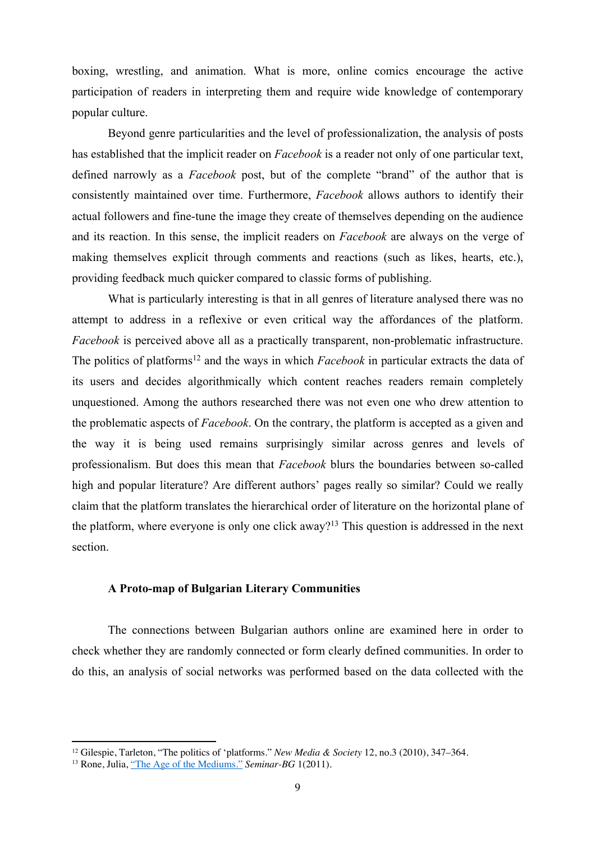boxing, wrestling, and animation. What is more, online comics encourage the active participation of readers in interpreting them and require wide knowledge of contemporary popular culture.

Beyond genre particularities and the level of professionalization, the analysis of posts has established that the implicit reader on *Facebook* is a reader not only of one particular text, defined narrowly as a *Facebook* post, but of the complete "brand" of the author that is consistently maintained over time. Furthermore, *Facebook* allows authors to identify their actual followers and fine-tune the image they create of themselves depending on the audience and its reaction. In this sense, the implicit readers on *Facebook* are always on the verge of making themselves explicit through comments and reactions (such as likes, hearts, etc.), providing feedback much quicker compared to classic forms of publishing.

What is particularly interesting is that in all genres of literature analysed there was no attempt to address in a reflexive or even critical way the affordances of the platform. *Facebook* is perceived above all as a practically transparent, non-problematic infrastructure. The politics of platforms<sup>12</sup> and the ways in which *Facebook* in particular extracts the data of its users and decides algorithmically which content reaches readers remain completely unquestioned. Among the authors researched there was not even one who drew attention to the problematic aspects of *Facebook*. On the contrary, the platform is accepted as a given and the way it is being used remains surprisingly similar across genres and levels of professionalism. But does this mean that *Facebook* blurs the boundaries between so-called high and popular literature? Are different authors' pages really so similar? Could we really claim that the platform translates the hierarchical order of literature on the horizontal plane of the platform, where everyone is only one click away?<sup>13</sup> This question is addressed in the next section.

## **A Proto-map of Bulgarian Literary Communities**

The connections between Bulgarian authors online are examined here in order to check whether they are randomly connected or form clearly defined communities. In order to do this, an analysis of social networks was performed based on the data collected with the

<sup>&</sup>lt;sup>12</sup> Gilespie, Tarleton, "The politics of 'platforms." *New Media & Society* 12, no.3 (2010), 347–364.<br><sup>13</sup> Rone, Julia, <u>"The Age of the Mediums."</u> *Seminar-BG* 1(2011).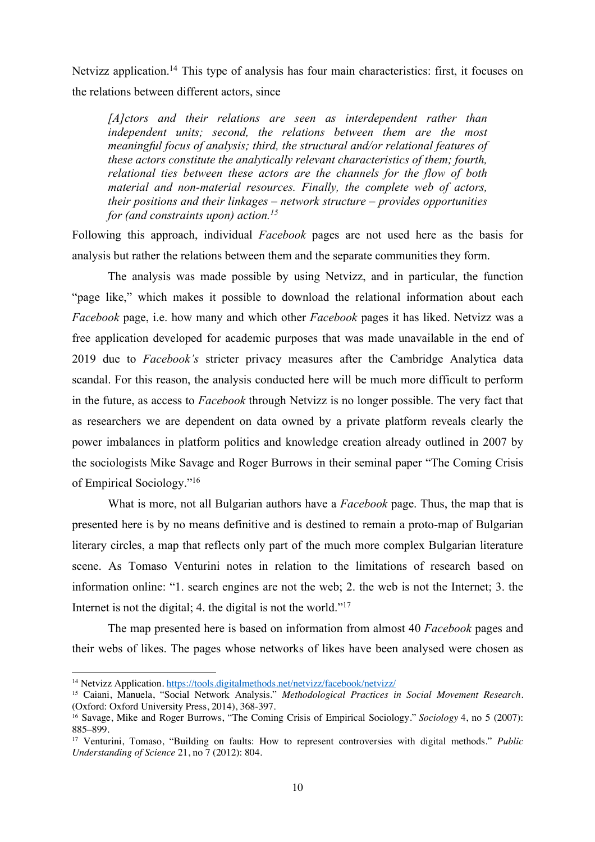Netvizz application.<sup>14</sup> This type of analysis has four main characteristics: first, it focuses on the relations between different actors, since

*[A]ctors and their relations are seen as interdependent rather than independent units; second, the relations between them are the most meaningful focus of analysis; third, the structural and/or relational features of these actors constitute the analytically relevant characteristics of them; fourth, relational ties between these actors are the channels for the flow of both material and non-material resources. Finally, the complete web of actors, their positions and their linkages – network structure – provides opportunities for (and constraints upon) action. 15*

Following this approach, individual *Facebook* pages are not used here as the basis for analysis but rather the relations between them and the separate communities they form.

The analysis was made possible by using Netvizz, and in particular, the function "page like," which makes it possible to download the relational information about each *Facebook* page, i.e. how many and which other *Facebook* pages it has liked. Netvizz was a free application developed for academic purposes that was made unavailable in the end of 2019 due to *Facebook's* stricter privacy measures after the Cambridge Analytica data scandal. For this reason, the analysis conducted here will be much more difficult to perform in the future, as access to *Facebook* through Netvizz is no longer possible. The very fact that as researchers we are dependent on data owned by a private platform reveals clearly the power imbalances in platform politics and knowledge creation already outlined in 2007 by the sociologists Mike Savage and Roger Burrows in their seminal paper "The Coming Crisis of Empirical Sociology."16

What is more, not all Bulgarian authors have a *Facebook* page. Thus, the map that is presented here is by no means definitive and is destined to remain a proto-map of Bulgarian literary circles, a map that reflects only part of the much more complex Bulgarian literature scene. As Tomaso Venturini notes in relation to the limitations of research based on information online: "1. search engines are not the web; 2. the web is not the Internet; 3. the Internet is not the digital; 4. the digital is not the world."<sup>17</sup>

The map presented here is based on information from almost 40 *Facebook* pages and their webs of likes. The pages whose networks of likes have been analysed were chosen as

<sup>&</sup>lt;sup>14</sup> Netvizz Application. https://tools.digitalmethods.net/netvizz/facebook/netvizz/

<sup>&</sup>lt;sup>15</sup> Caiani, Manuela, "Social Network Analysis." *Methodological Practices in Social Movement Research*.<br>(Oxford: Oxford University Press, 2014), 368-397.

<sup>&</sup>lt;sup>16</sup> Savage, Mike and Roger Burrows, "The Coming Crisis of Empirical Sociology." *Sociology* 4, no 5 (2007): 885–899.

<sup>17</sup> Venturini, Tomaso, "Building on faults: How to represent controversies with digital methods." *Public Understanding of Science* 21, no 7 (2012): 804.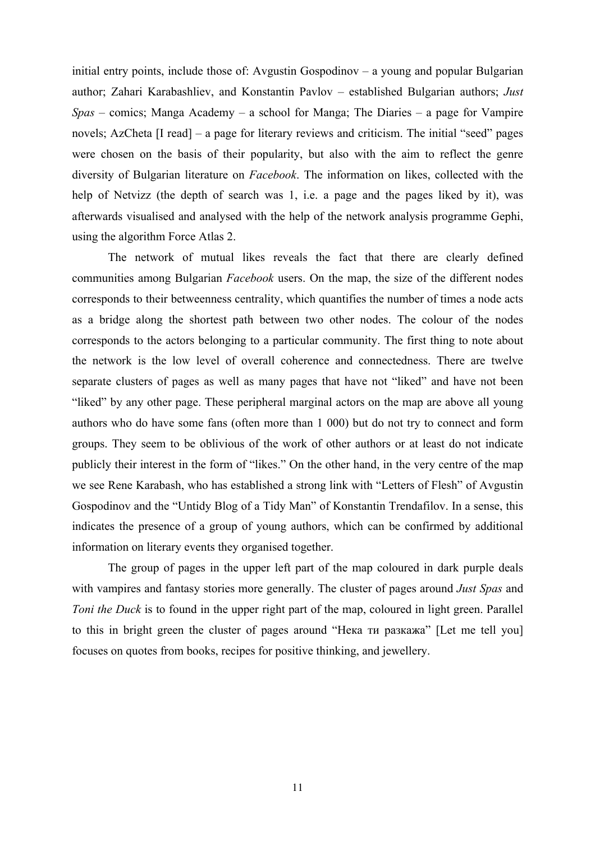initial entry points, include those of: Avgustin Gospodinov – a young and popular Bulgarian author; Zahari Karabashliev, and Konstantin Pavlov – established Bulgarian authors; *Just Spas* – comics; Manga Academy – a school for Manga; The Diaries – a page for Vampire novels; AzCheta [I read] – a page for literary reviews and criticism. The initial "seed" pages were chosen on the basis of their popularity, but also with the aim to reflect the genre diversity of Bulgarian literature on *Facebook*. The information on likes, collected with the help of Netvizz (the depth of search was 1, i.e. a page and the pages liked by it), was afterwards visualised and analysed with the help of the network analysis programme Gephi, using the algorithm Force Atlas 2.

The network of mutual likes reveals the fact that there are clearly defined communities among Bulgarian *Facebook* users. On the map, the size of the different nodes corresponds to their betweenness centrality, which quantifies the number of times a node acts as a bridge along the shortest path between two other nodes. The colour of the nodes corresponds to the actors belonging to a particular community. The first thing to note about the network is the low level of overall coherence and connectedness. There are twelve separate clusters of pages as well as many pages that have not "liked" and have not been "liked" by any other page. These peripheral marginal actors on the map are above all young authors who do have some fans (often more than 1 000) but do not try to connect and form groups. They seem to be oblivious of the work of other authors or at least do not indicate publicly their interest in the form of "likes." On the other hand, in the very centre of the map we see Rene Karabash, who has established a strong link with "Letters of Flesh" of Avgustin Gospodinov and the "Untidy Blog of a Tidy Man" of Konstantin Trendafilov. In a sense, this indicates the presence of a group of young authors, which can be confirmed by additional information on literary events they organised together.

The group of pages in the upper left part of the map coloured in dark purple deals with vampires and fantasy stories more generally. The cluster of pages around *Just Spas* and *Toni the Duck* is to found in the upper right part of the map, coloured in light green. Parallel to this in bright green the cluster of pages around "Нека ти разкажа" [Let me tell you] focuses on quotes from books, recipes for positive thinking, and jewellery.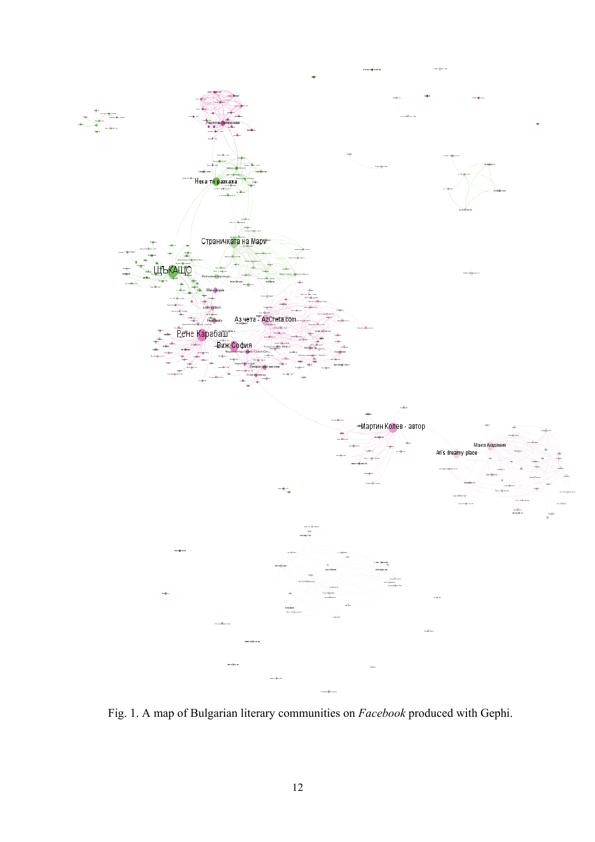

Fig. 1. A map of Bulgarian literary communities on *Facebook* produced with Gephi.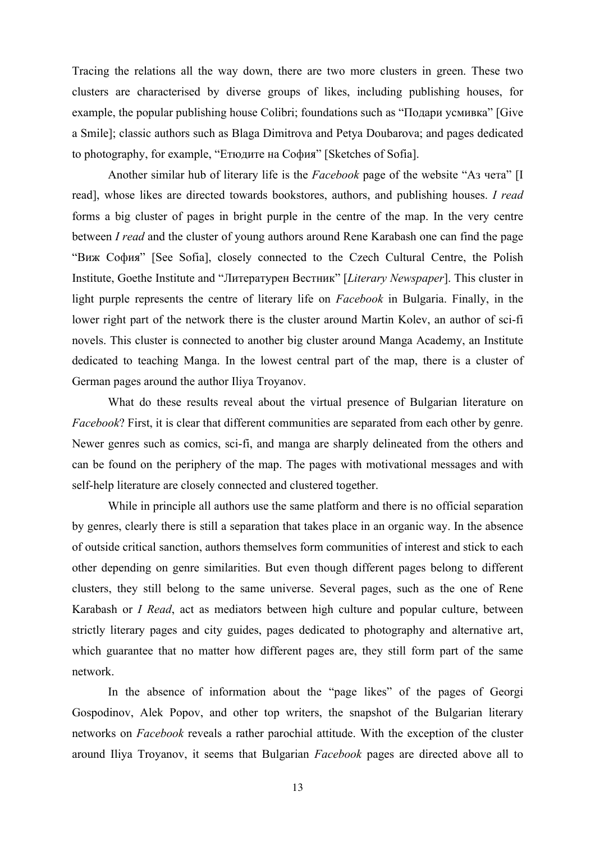Tracing the relations all the way down, there are two more clusters in green. These two clusters are characterised by diverse groups of likes, including publishing houses, for example, the popular publishing house Colibri; foundations such as "Подари усмивка" [Give a Smile]; classic authors such as Blaga Dimitrova and Petya Doubarova; and pages dedicated to photography, for example, "Етюдите на София" [Sketches of Sofia].

Another similar hub of literary life is the *Facebook* page of the website "Аз чета" [I read], whose likes are directed towards bookstores, authors, and publishing houses. *I read* forms a big cluster of pages in bright purple in the centre of the map. In the very centre between *I read* and the cluster of young authors around Rene Karabash one can find the page "Виж София" [See Sofia], closely connected to the Czech Cultural Centre, the Polish Institute, Goethe Institute and "Литературен Вестник" [*Literary Newspaper*]. This cluster in light purple represents the centre of literary life on *Facebook* in Bulgaria. Finally, in the lower right part of the network there is the cluster around Martin Kolev, an author of sci-fi novels. This cluster is connected to another big cluster around Manga Academy, an Institute dedicated to teaching Manga. In the lowest central part of the map, there is a cluster of German pages around the author Iliya Troyanov.

What do these results reveal about the virtual presence of Bulgarian literature on *Facebook*? First, it is clear that different communities are separated from each other by genre. Newer genres such as comics, sci-fi, and manga are sharply delineated from the others and can be found on the periphery of the map. The pages with motivational messages and with self-help literature are closely connected and clustered together.

While in principle all authors use the same platform and there is no official separation by genres, clearly there is still a separation that takes place in an organic way. In the absence of outside critical sanction, authors themselves form communities of interest and stick to each other depending on genre similarities. But even though different pages belong to different clusters, they still belong to the same universe. Several pages, such as the one of Rene Karabash or *I Read*, act as mediators between high culture and popular culture, between strictly literary pages and city guides, pages dedicated to photography and alternative art, which guarantee that no matter how different pages are, they still form part of the same network.

In the absence of information about the "page likes" of the pages of Georgi Gospodinov, Alek Popov, and other top writers, the snapshot of the Bulgarian literary networks on *Facebook* reveals a rather parochial attitude. With the exception of the cluster around Iliya Troyanov, it seems that Bulgarian *Facebook* pages are directed above all to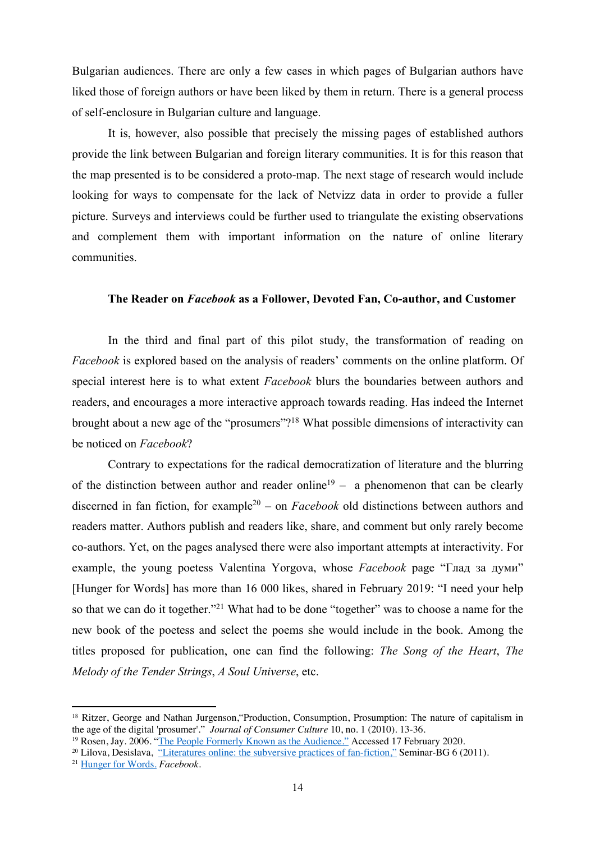Bulgarian audiences. There are only a few cases in which pages of Bulgarian authors have liked those of foreign authors or have been liked by them in return. There is a general process of self-enclosure in Bulgarian culture and language.

It is, however, also possible that precisely the missing pages of established authors provide the link between Bulgarian and foreign literary communities. It is for this reason that the map presented is to be considered a proto-map. The next stage of research would include looking for ways to compensate for the lack of Netvizz data in order to provide a fuller picture. Surveys and interviews could be further used to triangulate the existing observations and complement them with important information on the nature of online literary communities.

#### **The Reader on** *Facebook* **as a Follower, Devoted Fan, Co-author, and Customer**

In the third and final part of this pilot study, the transformation of reading on *Facebook* is explored based on the analysis of readers' comments on the online platform. Of special interest here is to what extent *Facebook* blurs the boundaries between authors and readers, and encourages a more interactive approach towards reading. Has indeed the Internet brought about a new age of the "prosumers"?18 What possible dimensions of interactivity can be noticed on *Facebook*?

Contrary to expectations for the radical democratization of literature and the blurring of the distinction between author and reader online<sup>19</sup> – a phenomenon that can be clearly discerned in fan fiction, for example<sup>20</sup> – on *Facebook* old distinctions between authors and readers matter. Authors publish and readers like, share, and comment but only rarely become co-authors. Yet, on the pages analysed there were also important attempts at interactivity. For example, the young poetess Valentina Yorgova, whose *Facebook* page "Глад за думи" [Hunger for Words] has more than 16 000 likes, shared in February 2019: "I need your help so that we can do it together."<sup>21</sup> What had to be done "together" was to choose a name for the new book of the poetess and select the poems she would include in the book. Among the titles proposed for publication, one can find the following: *The Song of the Heart*, *The Melody of the Tender Strings*, *A Soul Universe*, etc.

<sup>&</sup>lt;sup>18</sup> Ritzer, George and Nathan Jurgenson, "Production, Consumption, Prosumption: The nature of capitalism in the age of the digital 'prosumer'." *Journal of Consumer Culture* 10, no. 1 (2010). 13-36.

<sup>&</sup>lt;sup>19</sup> Rosen, Jay. 2006. "The People Formerly Known as the Audience." Accessed 17 February 2020.

<sup>20</sup> Lilova, Desislava, "Literatures online: the subversive practices of fan-fiction," Seminar-BG 6 (2011)*.* 

<sup>21</sup> Hunger for Words. *Facebook*.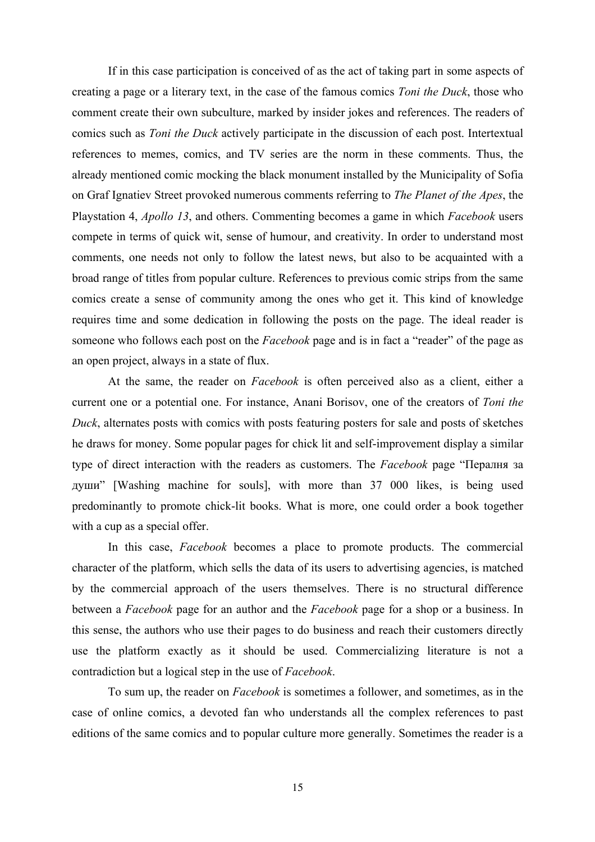If in this case participation is conceived of as the act of taking part in some aspects of creating a page or a literary text, in the case of the famous comics *Toni the Duck*, those who comment create their own subculture, marked by insider jokes and references. The readers of comics such as *Toni the Duck* actively participate in the discussion of each post. Intertextual references to memes, comics, and TV series are the norm in these comments. Thus, the already mentioned comic mocking the black monument installed by the Municipality of Sofia on Graf Ignatiev Street provoked numerous comments referring to *The Planet of the Apes*, the Playstation 4, *Apollo 13*, and others. Commenting becomes a game in which *Facebook* users compete in terms of quick wit, sense of humour, and creativity. In order to understand most comments, one needs not only to follow the latest news, but also to be acquainted with a broad range of titles from popular culture. References to previous comic strips from the same comics create a sense of community among the ones who get it. This kind of knowledge requires time and some dedication in following the posts on the page. The ideal reader is someone who follows each post on the *Facebook* page and is in fact a "reader" of the page as an open project, always in a state of flux.

At the same, the reader on *Facebook* is often perceived also as a client, either a current one or a potential one. For instance, Anani Borisov, one of the creators of *Toni the Duck*, alternates posts with comics with posts featuring posters for sale and posts of sketches he draws for money. Some popular pages for chick lit and self-improvement display a similar type of direct interaction with the readers as customers. The *Facebook* page "Пералня за души" [Washing machine for souls], with more than 37 000 likes, is being used predominantly to promote chick-lit books. What is more, one could order a book together with a cup as a special offer.

In this case, *Facebook* becomes a place to promote products. The commercial character of the platform, which sells the data of its users to advertising agencies, is matched by the commercial approach of the users themselves. There is no structural difference between a *Facebook* page for an author and the *Facebook* page for a shop or a business. In this sense, the authors who use their pages to do business and reach their customers directly use the platform exactly as it should be used. Commercializing literature is not a contradiction but a logical step in the use of *Facebook*.

To sum up, the reader on *Facebook* is sometimes a follower, and sometimes, as in the case of online comics, a devoted fan who understands all the complex references to past editions of the same comics and to popular culture more generally. Sometimes the reader is a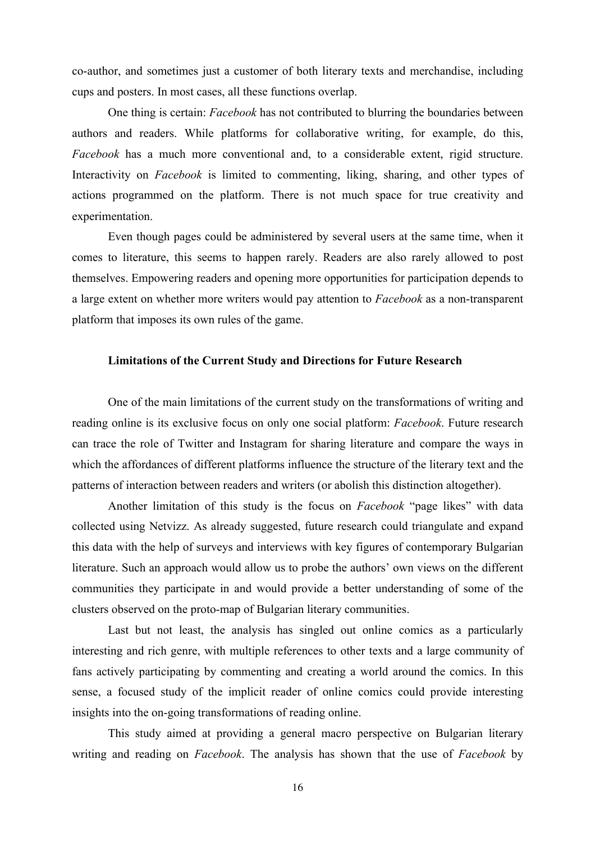co-author, and sometimes just a customer of both literary texts and merchandise, including cups and posters. In most cases, all these functions overlap.

One thing is certain: *Facebook* has not contributed to blurring the boundaries between authors and readers. While platforms for collaborative writing, for example, do this, *Facebook* has a much more conventional and, to a considerable extent, rigid structure. Interactivity on *Facebook* is limited to commenting, liking, sharing, and other types of actions programmed on the platform. There is not much space for true creativity and experimentation.

Even though pages could be administered by several users at the same time, when it comes to literature, this seems to happen rarely. Readers are also rarely allowed to post themselves. Empowering readers and opening more opportunities for participation depends to a large extent on whether more writers would pay attention to *Facebook* as a non-transparent platform that imposes its own rules of the game.

#### **Limitations of the Current Study and Directions for Future Research**

One of the main limitations of the current study on the transformations of writing and reading online is its exclusive focus on only one social platform: *Facebook*. Future research can trace the role of Twitter and Instagram for sharing literature and compare the ways in which the affordances of different platforms influence the structure of the literary text and the patterns of interaction between readers and writers (or abolish this distinction altogether).

Another limitation of this study is the focus on *Facebook* "page likes" with data collected using Netvizz. As already suggested, future research could triangulate and expand this data with the help of surveys and interviews with key figures of contemporary Bulgarian literature. Such an approach would allow us to probe the authors' own views on the different communities they participate in and would provide a better understanding of some of the clusters observed on the proto-map of Bulgarian literary communities.

Last but not least, the analysis has singled out online comics as a particularly interesting and rich genre, with multiple references to other texts and a large community of fans actively participating by commenting and creating a world around the comics. In this sense, a focused study of the implicit reader of online comics could provide interesting insights into the on-going transformations of reading online.

This study aimed at providing a general macro perspective on Bulgarian literary writing and reading on *Facebook*. The analysis has shown that the use of *Facebook* by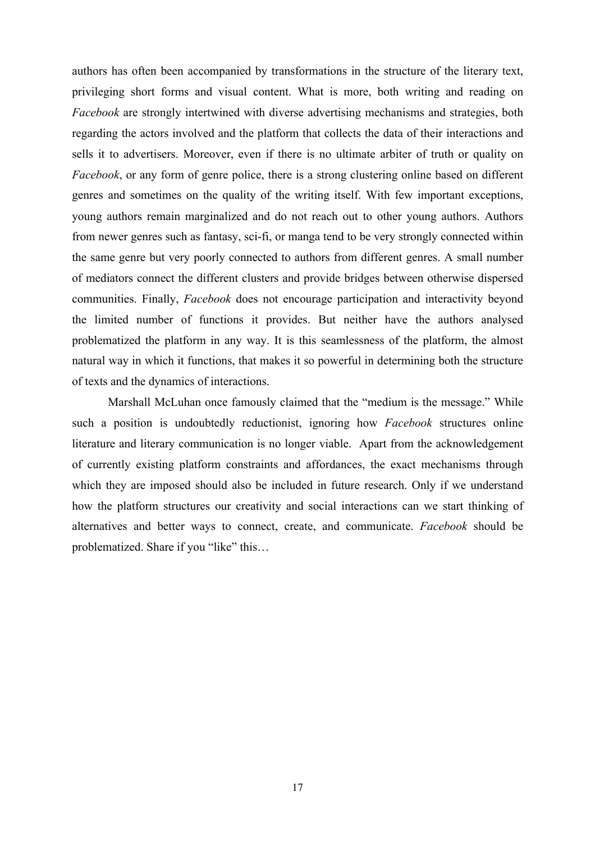authors has often been accompanied by transformations in the structure of the literary text, privileging short forms and visual content. What is more, both writing and reading on *Facebook* are strongly intertwined with diverse advertising mechanisms and strategies, both regarding the actors involved and the platform that collects the data of their interactions and sells it to advertisers. Moreover, even if there is no ultimate arbiter of truth or quality on *Facebook*, or any form of genre police, there is a strong clustering online based on different genres and sometimes on the quality of the writing itself. With few important exceptions, young authors remain marginalized and do not reach out to other young authors. Authors from newer genres such as fantasy, sci-fi, or manga tend to be very strongly connected within the same genre but very poorly connected to authors from different genres. A small number of mediators connect the different clusters and provide bridges between otherwise dispersed communities. Finally, *Facebook* does not encourage participation and interactivity beyond the limited number of functions it provides. But neither have the authors analysed problematized the platform in any way. It is this seamlessness of the platform, the almost natural way in which it functions, that makes it so powerful in determining both the structure of texts and the dynamics of interactions.

Marshall McLuhan once famously claimed that the "medium is the message." While such a position is undoubtedly reductionist, ignoring how *Facebook* structures online literature and literary communication is no longer viable. Apart from the acknowledgement of currently existing platform constraints and affordances, the exact mechanisms through which they are imposed should also be included in future research. Only if we understand how the platform structures our creativity and social interactions can we start thinking of alternatives and better ways to connect, create, and communicate. *Facebook* should be problematized. Share if you "like" this…